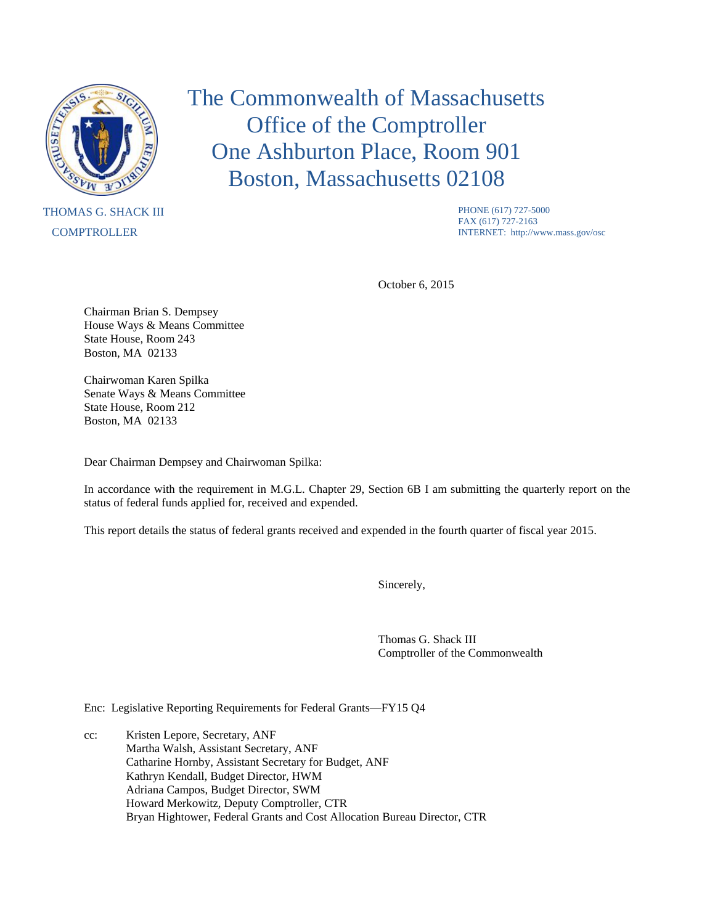

## THOMAS G. SHACK III **COMPTROLLER**

The Commonwealth of Massachusetts Office of the Comptroller One Ashburton Place, Room 901 Boston, Massachusetts 02108

> PHONE (617) 727-5000 FAX (617) 727-2163 INTERNET: http://www.mass.gov/osc

October 6, 2015

Chairman Brian S. Dempsey House Ways & Means Committee State House, Room 243 Boston, MA 02133

Chairwoman Karen Spilka Senate Ways & Means Committee State House, Room 212 Boston, MA 02133

Dear Chairman Dempsey and Chairwoman Spilka:

In accordance with the requirement in M.G.L. Chapter 29, Section 6B I am submitting the quarterly report on the status of federal funds applied for, received and expended.

This report details the status of federal grants received and expended in the fourth quarter of fiscal year 2015.

Sincerely,

Thomas G. Shack III Comptroller of the Commonwealth

Enc: Legislative Reporting Requirements for Federal Grants—FY15 Q4

cc: Kristen Lepore, Secretary, ANF Martha Walsh, Assistant Secretary, ANF Catharine Hornby, Assistant Secretary for Budget, ANF Kathryn Kendall, Budget Director, HWM Adriana Campos, Budget Director, SWM Howard Merkowitz, Deputy Comptroller, CTR Bryan Hightower, Federal Grants and Cost Allocation Bureau Director, CTR